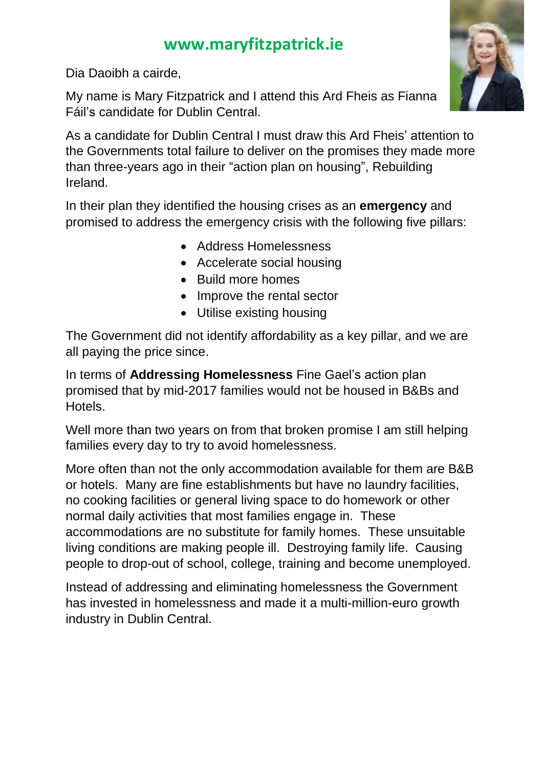Dia Daoibh a cairde,

My name is Mary Fitzpatrick and I attend this Ard Fheis as Fianna Fáil's candidate for Dublin Central.



In their plan they identified the housing crises as an **emergency** and promised to address the emergency crisis with the following five pillars:

- Address Homelessness
- Accelerate social housing
- Build more homes
- Improve the rental sector
- Utilise existing housing

The Government did not identify affordability as a key pillar, and we are all paying the price since.

In terms of **Addressing Homelessness** Fine Gael's action plan promised that by mid-2017 families would not be housed in B&Bs and Hotels.

Well more than two years on from that broken promise I am still helping families every day to try to avoid homelessness.

More often than not the only accommodation available for them are B&B or hotels. Many are fine establishments but have no laundry facilities, no cooking facilities or general living space to do homework or other normal daily activities that most families engage in. These accommodations are no substitute for family homes. These unsuitable living conditions are making people ill. Destroying family life. Causing people to drop-out of school, college, training and become unemployed.

Instead of addressing and eliminating homelessness the Government has invested in homelessness and made it a multi-million-euro growth industry in Dublin Central.

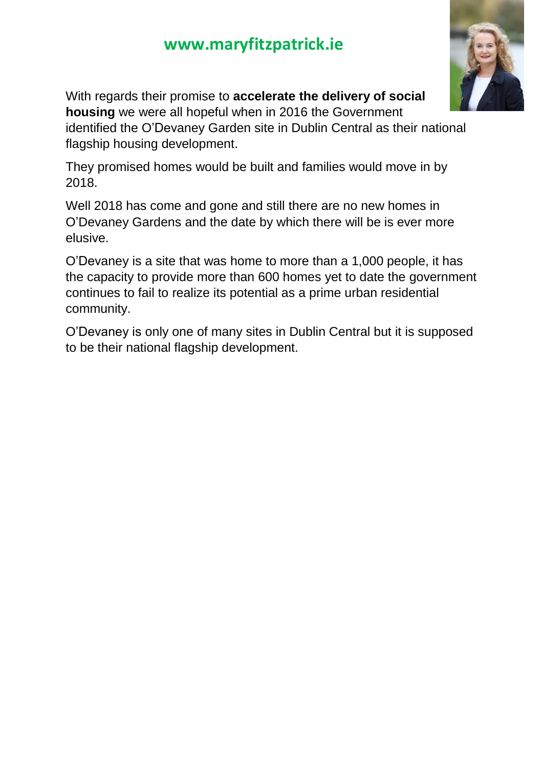

With regards their promise to **accelerate the delivery of social housing** we were all hopeful when in 2016 the Government identified the O'Devaney Garden site in Dublin Central as their national flagship housing development.

They promised homes would be built and families would move in by 2018.

Well 2018 has come and gone and still there are no new homes in O'Devaney Gardens and the date by which there will be is ever more elusive.

O'Devaney is a site that was home to more than a 1,000 people, it has the capacity to provide more than 600 homes yet to date the government continues to fail to realize its potential as a prime urban residential community.

O'Devaney is only one of many sites in Dublin Central but it is supposed to be their national flagship development.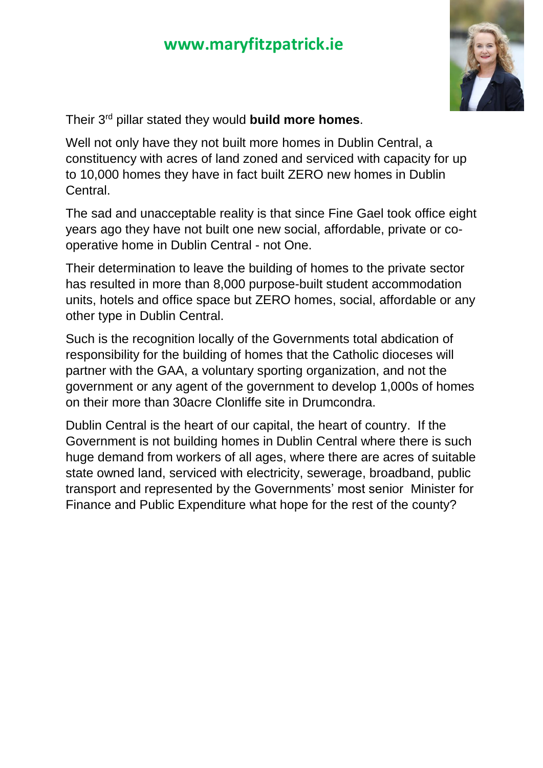

Their 3rd pillar stated they would **build more homes**.

Well not only have they not built more homes in Dublin Central, a constituency with acres of land zoned and serviced with capacity for up to 10,000 homes they have in fact built ZERO new homes in Dublin Central.

The sad and unacceptable reality is that since Fine Gael took office eight years ago they have not built one new social, affordable, private or cooperative home in Dublin Central - not One.

Their determination to leave the building of homes to the private sector has resulted in more than 8,000 purpose-built student accommodation units, hotels and office space but ZERO homes, social, affordable or any other type in Dublin Central.

Such is the recognition locally of the Governments total abdication of responsibility for the building of homes that the Catholic dioceses will partner with the GAA, a voluntary sporting organization, and not the government or any agent of the government to develop 1,000s of homes on their more than 30acre Clonliffe site in Drumcondra.

Dublin Central is the heart of our capital, the heart of country. If the Government is not building homes in Dublin Central where there is such huge demand from workers of all ages, where there are acres of suitable state owned land, serviced with electricity, sewerage, broadband, public transport and represented by the Governments' most senior Minister for Finance and Public Expenditure what hope for the rest of the county?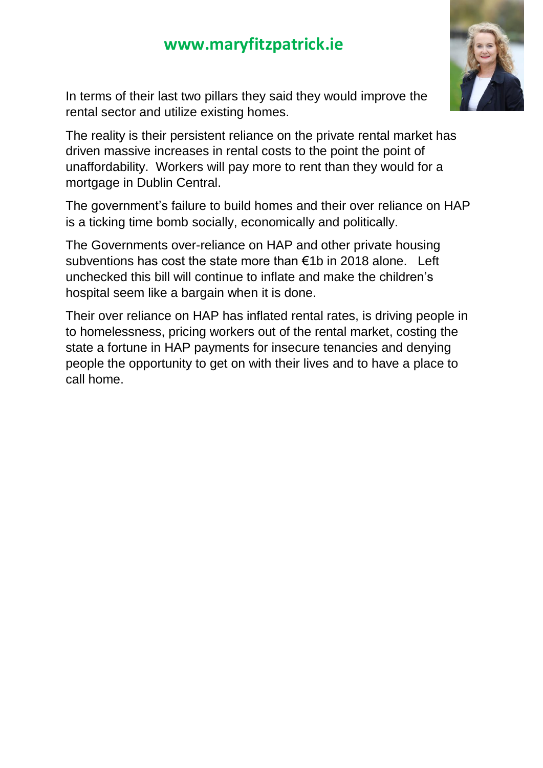

In terms of their last two pillars they said they would improve the rental sector and utilize existing homes.

The reality is their persistent reliance on the private rental market has driven massive increases in rental costs to the point the point of unaffordability. Workers will pay more to rent than they would for a mortgage in Dublin Central.

The government's failure to build homes and their over reliance on HAP is a ticking time bomb socially, economically and politically.

The Governments over-reliance on HAP and other private housing subventions has cost the state more than €1b in 2018 alone. Left unchecked this bill will continue to inflate and make the children's hospital seem like a bargain when it is done.

Their over reliance on HAP has inflated rental rates, is driving people in to homelessness, pricing workers out of the rental market, costing the state a fortune in HAP payments for insecure tenancies and denying people the opportunity to get on with their lives and to have a place to call home.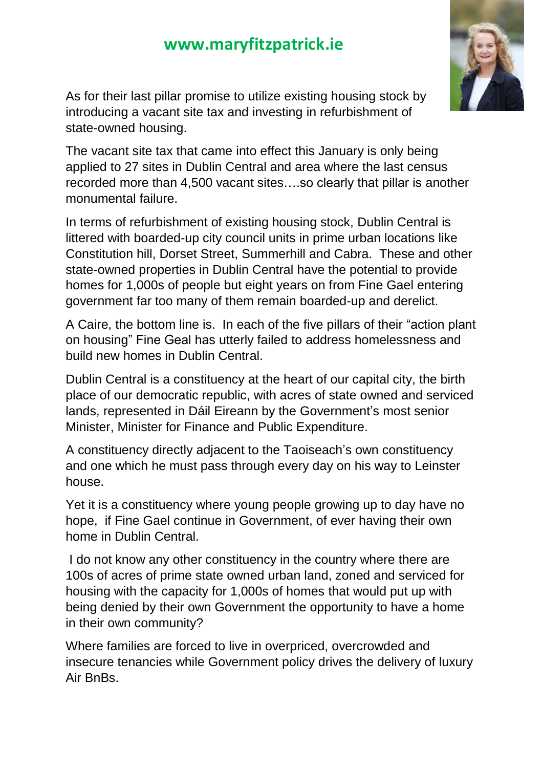

As for their last pillar promise to utilize existing housing stock by introducing a vacant site tax and investing in refurbishment of state-owned housing.

The vacant site tax that came into effect this January is only being applied to 27 sites in Dublin Central and area where the last census recorded more than 4,500 vacant sites….so clearly that pillar is another monumental failure.

In terms of refurbishment of existing housing stock, Dublin Central is littered with boarded-up city council units in prime urban locations like Constitution hill, Dorset Street, Summerhill and Cabra. These and other state-owned properties in Dublin Central have the potential to provide homes for 1,000s of people but eight years on from Fine Gael entering government far too many of them remain boarded-up and derelict.

A Caire, the bottom line is. In each of the five pillars of their "action plant on housing" Fine Geal has utterly failed to address homelessness and build new homes in Dublin Central.

Dublin Central is a constituency at the heart of our capital city, the birth place of our democratic republic, with acres of state owned and serviced lands, represented in Dáil Eireann by the Government's most senior Minister, Minister for Finance and Public Expenditure.

A constituency directly adjacent to the Taoiseach's own constituency and one which he must pass through every day on his way to Leinster house.

Yet it is a constituency where young people growing up to day have no hope, if Fine Gael continue in Government, of ever having their own home in Dublin Central.

I do not know any other constituency in the country where there are 100s of acres of prime state owned urban land, zoned and serviced for housing with the capacity for 1,000s of homes that would put up with being denied by their own Government the opportunity to have a home in their own community?

Where families are forced to live in overpriced, overcrowded and insecure tenancies while Government policy drives the delivery of luxury Air BnBs.